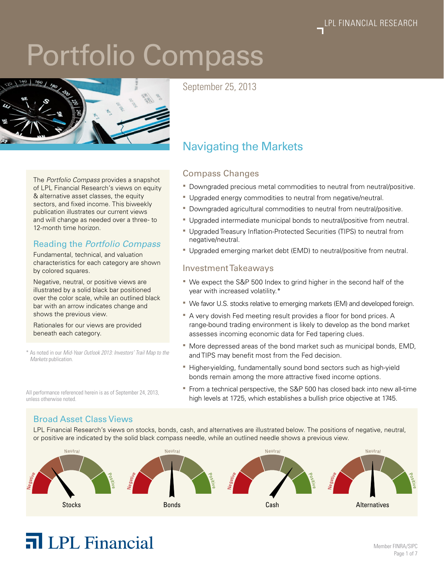# Portfolio Compass



September 25, 2013

#### The *Portfolio Compass* provides a snapshot of LPL Financial Research's views on equity & alternative asset classes, the equity sectors, and fixed income. This biweekly publication illustrates our current views and will change as needed over a three- to 12-month time horizon.

#### Reading the *Portfolio Compass*

Fundamental, technical, and valuation characteristics for each category are shown by colored squares.

Negative, neutral, or positive views are illustrated by a solid black bar positioned over the color scale, while an outlined black bar with an arrow indicates change and shows the previous view.

Rationales for our views are provided beneath each category.

\* As noted in our *Mid-Year Outlook 2013: Investors' Trail Map to the Markets* publication.

All performance referenced herein is as of September 24, 2013,

Navigating the Markets

#### Compass Changes

- Downgraded precious metal commodities to neutral from neutral/positive.
- Upgraded energy commodities to neutral from negative/neutral.
- Downgraded agricultural commodities to neutral from neutral/positive.
- Upgraded intermediate municipal bonds to neutral/positive from neutral.
- Upgraded Treasury Inflation-Protected Securities (TIPS) to neutral from negative/neutral.
- Upgraded emerging market debt (EMD) to neutral/positive from neutral.

#### Investment Takeaways

- We expect the S&P 500 Index to grind higher in the second half of the year with increased volatility.\*
- We favor U.S. stocks relative to emerging markets (EM) and developed foreign.
- A very dovish Fed meeting result provides a floor for bond prices. A range-bound trading environment is likely to develop as the bond market assesses incoming economic data for Fed tapering clues.
- $\blacksquare$  More depressed areas of the bond market such as municipal bonds, EMD, and TIPS may benefit most from the Fed decision.
- **Higher-yielding, fundamentally sound bond sectors such as high-yield** bonds remain among the more attractive fixed income options.
- **From a technical perspective, the S&P 500 has closed back into new all-time** high levels at 1725, which establishes a bullish price objective at 1745.

### Broad Asset Class Views

unless otherwise noted.

LPL Financial Research's views on stocks, bonds, cash, and alternatives are illustrated below. The positions of negative, neutral, or positive are indicated by the solid black compass needle, while an outlined needle shows a previous view.



## **T** LPL Financial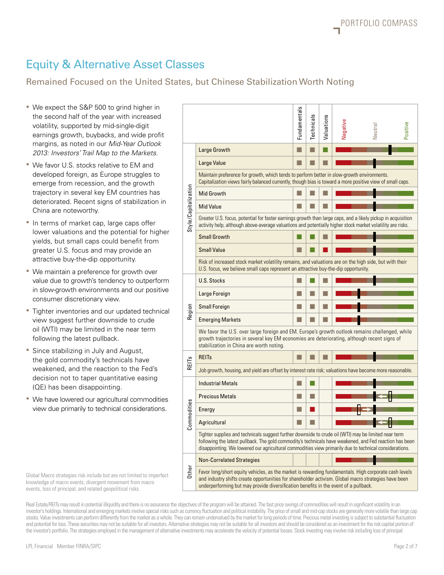## Equity & Alternative Asset Classes

#### Remained Focused on the United States, but Chinese Stabilization Worth Noting

- We expect the S&P 500 to grind higher in the second half of the year with increased volatility, supported by mid-single-digit earnings growth, buybacks, and wide profit margins, as noted in our *Mid-Year Outlook 2013: Investors' Trail Map to the Markets*.
- We favor U.S. stocks relative to EM and developed foreign, as Europe struggles to emerge from recession, and the growth trajectory in several key EM countries has deteriorated. Recent signs of stabilization in China are noteworthy.
- In terms of market cap, large caps offer lower valuations and the potential for higher yields, but small caps could benefit from greater U.S. focus and may provide an attractive buy-the-dip opportunity.
- We maintain a preference for growth over value due to growth's tendency to outperform in slow-growth environments and our positive consumer discretionary view.
- **Tighter inventories and our updated technical** view suggest further downside to crude oil (WTI) may be limited in the near term following the latest pullback.
- **Since stabilizing in July and August,** the gold commodity's technicals have weakened, and the reaction to the Fed's decision not to taper quantitative easing (QE) has been disappointing.
- We have lowered our agricultural commodities view due primarily to technical considerations.

| We expect the S&P 500 to grind higher in<br>the second half of the year with increased<br>volatility, supported by mid-single-digit<br>earnings growth, buybacks, and wide profit<br>margins, as noted in our Mid-Year Outlook                                                                                                                                                                                                                                                                                                                                                                                                                                                                                                                                                                                                                                                                                                                                                                                                                                                                            |                      |                                                                                                                                                                                                                                                                                                                           | Fundamentals | <b>Technicals</b> | Valuations | Negative | Neutral | Positive |  |  |  |  |
|-----------------------------------------------------------------------------------------------------------------------------------------------------------------------------------------------------------------------------------------------------------------------------------------------------------------------------------------------------------------------------------------------------------------------------------------------------------------------------------------------------------------------------------------------------------------------------------------------------------------------------------------------------------------------------------------------------------------------------------------------------------------------------------------------------------------------------------------------------------------------------------------------------------------------------------------------------------------------------------------------------------------------------------------------------------------------------------------------------------|----------------------|---------------------------------------------------------------------------------------------------------------------------------------------------------------------------------------------------------------------------------------------------------------------------------------------------------------------------|--------------|-------------------|------------|----------|---------|----------|--|--|--|--|
| 2013: Investors' Trail Map to the Markets.                                                                                                                                                                                                                                                                                                                                                                                                                                                                                                                                                                                                                                                                                                                                                                                                                                                                                                                                                                                                                                                                |                      | <b>Large Growth</b>                                                                                                                                                                                                                                                                                                       | П            |                   |            |          |         |          |  |  |  |  |
| We favor U.S. stocks relative to EM and                                                                                                                                                                                                                                                                                                                                                                                                                                                                                                                                                                                                                                                                                                                                                                                                                                                                                                                                                                                                                                                                   |                      | Large Value                                                                                                                                                                                                                                                                                                               | П            |                   |            |          |         |          |  |  |  |  |
| developed foreign, as Europe struggles to<br>emerge from recession, and the growth                                                                                                                                                                                                                                                                                                                                                                                                                                                                                                                                                                                                                                                                                                                                                                                                                                                                                                                                                                                                                        |                      | Maintain preference for growth, which tends to perform better in slow-growth environments.<br>Capitalization views fairly balanced currently, though bias is toward a more positive view of small caps.                                                                                                                   |              |                   |            |          |         |          |  |  |  |  |
| trajectory in several key EM countries has<br>deteriorated. Recent signs of stabilization in                                                                                                                                                                                                                                                                                                                                                                                                                                                                                                                                                                                                                                                                                                                                                                                                                                                                                                                                                                                                              |                      | <b>Mid Growth</b>                                                                                                                                                                                                                                                                                                         |              |                   |            |          |         |          |  |  |  |  |
| China are noteworthy.                                                                                                                                                                                                                                                                                                                                                                                                                                                                                                                                                                                                                                                                                                                                                                                                                                                                                                                                                                                                                                                                                     | Style/Capitalization | <b>Mid Value</b>                                                                                                                                                                                                                                                                                                          |              |                   |            |          |         |          |  |  |  |  |
| In terms of market cap, large caps offer<br>lower valuations and the potential for higher                                                                                                                                                                                                                                                                                                                                                                                                                                                                                                                                                                                                                                                                                                                                                                                                                                                                                                                                                                                                                 |                      | Greater U.S. focus, potential for faster earnings growth than large caps, and a likely pickup in acquisition<br>activity help, although above-average valuations and potentially higher stock market volatility are risks.                                                                                                |              |                   |            |          |         |          |  |  |  |  |
| yields, but small caps could benefit from<br>greater U.S. focus and may provide an                                                                                                                                                                                                                                                                                                                                                                                                                                                                                                                                                                                                                                                                                                                                                                                                                                                                                                                                                                                                                        |                      | <b>Small Growth</b>                                                                                                                                                                                                                                                                                                       |              |                   |            |          |         |          |  |  |  |  |
|                                                                                                                                                                                                                                                                                                                                                                                                                                                                                                                                                                                                                                                                                                                                                                                                                                                                                                                                                                                                                                                                                                           |                      | <b>Small Value</b>                                                                                                                                                                                                                                                                                                        | L            |                   |            |          |         |          |  |  |  |  |
| attractive buy-the-dip opportunity.<br>We maintain a preference for growth over                                                                                                                                                                                                                                                                                                                                                                                                                                                                                                                                                                                                                                                                                                                                                                                                                                                                                                                                                                                                                           |                      | Risk of increased stock market volatility remains, and valuations are on the high side, but with their<br>U.S. focus, we believe small caps represent an attractive buy-the-dip opportunity.                                                                                                                              |              |                   |            |          |         |          |  |  |  |  |
| value due to growth's tendency to outperform                                                                                                                                                                                                                                                                                                                                                                                                                                                                                                                                                                                                                                                                                                                                                                                                                                                                                                                                                                                                                                                              |                      | <b>U.S. Stocks</b>                                                                                                                                                                                                                                                                                                        | ш            |                   |            |          |         |          |  |  |  |  |
| in slow-growth environments and our positive<br>consumer discretionary view.<br>Tighter inventories and our updated technical<br>view suggest further downside to crude                                                                                                                                                                                                                                                                                                                                                                                                                                                                                                                                                                                                                                                                                                                                                                                                                                                                                                                                   | Region               | Large Foreign                                                                                                                                                                                                                                                                                                             | ш            |                   |            |          |         |          |  |  |  |  |
|                                                                                                                                                                                                                                                                                                                                                                                                                                                                                                                                                                                                                                                                                                                                                                                                                                                                                                                                                                                                                                                                                                           |                      | <b>Small Foreign</b>                                                                                                                                                                                                                                                                                                      | ш            |                   |            |          |         |          |  |  |  |  |
|                                                                                                                                                                                                                                                                                                                                                                                                                                                                                                                                                                                                                                                                                                                                                                                                                                                                                                                                                                                                                                                                                                           |                      | <b>Emerging Markets</b>                                                                                                                                                                                                                                                                                                   |              |                   |            |          |         |          |  |  |  |  |
| oil (WTI) may be limited in the near term<br>following the latest pullback.                                                                                                                                                                                                                                                                                                                                                                                                                                                                                                                                                                                                                                                                                                                                                                                                                                                                                                                                                                                                                               |                      | We favor the U.S. over large foreign and EM. Europe's growth outlook remains challenged, while<br>growth trajectories in several key EM economies are deteriorating, although recent signs of<br>stabilization in China are worth noting.                                                                                 |              |                   |            |          |         |          |  |  |  |  |
| Since stabilizing in July and August,<br>the gold commodity's technicals have                                                                                                                                                                                                                                                                                                                                                                                                                                                                                                                                                                                                                                                                                                                                                                                                                                                                                                                                                                                                                             |                      | <b>REITs</b>                                                                                                                                                                                                                                                                                                              | ш            |                   |            |          |         |          |  |  |  |  |
| weakened, and the reaction to the Fed's                                                                                                                                                                                                                                                                                                                                                                                                                                                                                                                                                                                                                                                                                                                                                                                                                                                                                                                                                                                                                                                                   | REITS                | Job growth, housing, and yield are offset by interest rate risk; valuations have become more reasonable.                                                                                                                                                                                                                  |              |                   |            |          |         |          |  |  |  |  |
| decision not to taper quantitative easing<br>(QE) has been disappointing.                                                                                                                                                                                                                                                                                                                                                                                                                                                                                                                                                                                                                                                                                                                                                                                                                                                                                                                                                                                                                                 |                      | <b>Industrial Metals</b>                                                                                                                                                                                                                                                                                                  | ш            |                   |            |          |         |          |  |  |  |  |
| We have lowered our agricultural commodities                                                                                                                                                                                                                                                                                                                                                                                                                                                                                                                                                                                                                                                                                                                                                                                                                                                                                                                                                                                                                                                              | ommodities<br>ت      | <b>Precious Metals</b>                                                                                                                                                                                                                                                                                                    | ш            | m.                |            |          |         |          |  |  |  |  |
| view due primarily to technical considerations.                                                                                                                                                                                                                                                                                                                                                                                                                                                                                                                                                                                                                                                                                                                                                                                                                                                                                                                                                                                                                                                           |                      | Energy                                                                                                                                                                                                                                                                                                                    | ш            |                   |            |          |         |          |  |  |  |  |
|                                                                                                                                                                                                                                                                                                                                                                                                                                                                                                                                                                                                                                                                                                                                                                                                                                                                                                                                                                                                                                                                                                           |                      | Agricultural                                                                                                                                                                                                                                                                                                              | ш            |                   |            |          |         |          |  |  |  |  |
|                                                                                                                                                                                                                                                                                                                                                                                                                                                                                                                                                                                                                                                                                                                                                                                                                                                                                                                                                                                                                                                                                                           |                      | Tighter supplies and technicals suggest further downside to crude oil (WTI) may be limited near term<br>following the latest pullback. The gold commodity's technicals have weakened, and Fed reaction has been<br>disappointing. We lowered our agricultural commodities view primarily due to technical considerations. |              |                   |            |          |         |          |  |  |  |  |
|                                                                                                                                                                                                                                                                                                                                                                                                                                                                                                                                                                                                                                                                                                                                                                                                                                                                                                                                                                                                                                                                                                           |                      | <b>Non-Correlated Strategies</b>                                                                                                                                                                                                                                                                                          |              |                   |            |          |         |          |  |  |  |  |
| Global Macro strategies risk include but are not limited to imperfect<br>knowledge of macro events, divergent movement from macro<br>events, loss of principal, and related geopolitical risks.                                                                                                                                                                                                                                                                                                                                                                                                                                                                                                                                                                                                                                                                                                                                                                                                                                                                                                           | Other                | Favor long/short equity vehicles, as the market is rewarding fundamentals. High corporate cash levels<br>and industry shifts create opportunities for shareholder activism. Global macro strategies have been<br>underperforming but may provide diversification benefits in the event of a pullback.                     |              |                   |            |          |         |          |  |  |  |  |
| Real Estate/REITs may result in potential illiquidity and there is no assurance the objectives of the program will be attained. The fast price swings of commodities will result in significant volatility in an<br>investor's holdings. International and emerging markets involve special risks such as currency fluctuation and political instability. The price of small and mid-cap stocks are generally more volatile than large cap<br>stocks. Value investments can perform differently from the market as a whole. They can remain undervalued by the market for long periods of time. Precious metal investing is subject to substantial fluctuation<br>and potential for loss. These securities may not be suitable for all investors. Alternative strategies may not be suitable for all investors and should be considered as an investment for the risk capital portion of<br>the investor's portfolio. The strategies employed in the management of alternative investments may accelerate the velocity of potential losses. Stock investing may involve risk including loss of principal. |                      |                                                                                                                                                                                                                                                                                                                           |              |                   |            |          |         |          |  |  |  |  |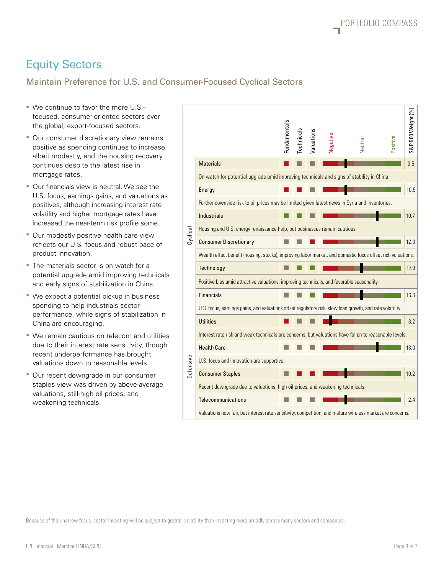## Equity Sectors

### Maintain Preference for U.S. and Consumer-Focused Cyclical Sectors

- We continue to favor the more U.S. focused, consumer-oriented sectors over the global, export-focused sectors.
- **Our consumer discretionary view remains** positive as spending continues to increase, albeit modestly, and the housing recovery continues despite the latest rise in mortgage rates.
- Our financials view is neutral. We see the U.S. focus, earnings gains, and valuations as positives, although increasing interest rate volatility and higher mortgage rates have increased the near-term risk profile some.
- **Our modestly positive health care view** reflects our U.S. focus and robust pace of product innovation.
- The materials sector is on watch for a potential upgrade amid improving technicals and early signs of stabilization in China.
- We expect a potential pickup in business spending to help industrials sector performance, while signs of stabilization in China are encouraging.
- We remain cautious on telecom and utilities due to their interest rate sensitivity, though recent underperformance has brought valuations down to reasonable levels.
- **Our recent downgrade in our consumer** staples view was driven by above-average valuations, still-high oil prices, and weakening technicals.

| " We continue to favor the more U.S.-<br>focused, consumer-oriented sectors over<br>the global, export-focused sectors.<br>Our consumer discretionary view remains<br>positive as spending continues to increase,<br>albeit modestly, and the housing recovery<br>continues despite the latest rise in                                                  |                                                                                           |                                                                                                             |                                                                                            |  | Technicals | Valuations | Negative | Neutral | Positive | S&P 500 Weight (%) |  |
|---------------------------------------------------------------------------------------------------------------------------------------------------------------------------------------------------------------------------------------------------------------------------------------------------------------------------------------------------------|-------------------------------------------------------------------------------------------|-------------------------------------------------------------------------------------------------------------|--------------------------------------------------------------------------------------------|--|------------|------------|----------|---------|----------|--------------------|--|
|                                                                                                                                                                                                                                                                                                                                                         |                                                                                           |                                                                                                             | <b>Materials</b>                                                                           |  |            |            |          |         |          | 3.5                |  |
|                                                                                                                                                                                                                                                                                                                                                         | mortgage rates.                                                                           |                                                                                                             | On watch for potential upgrade amid improving technicals and signs of stability in China.  |  |            |            |          |         |          |                    |  |
| Our financials view is neutral. We see the<br>U.S. focus, earnings gains, and valuations as<br>positives, although increasing interest rate<br>volatility and higher mortgage rates have<br>increased the near-term risk profile some.<br>" Our modestly positive health care view<br>reflects our U.S. focus and robust pace of<br>product innovation. | Cyclical                                                                                  | Energy                                                                                                      |                                                                                            |  |            |            |          |         | 10.5     |                    |  |
|                                                                                                                                                                                                                                                                                                                                                         |                                                                                           | Further downside risk to oil prices may be limited given latest news in Syria and inventories.              |                                                                                            |  |            |            |          |         |          |                    |  |
|                                                                                                                                                                                                                                                                                                                                                         |                                                                                           | <b>Industrials</b>                                                                                          |                                                                                            |  |            |            |          |         | 10.7     |                    |  |
|                                                                                                                                                                                                                                                                                                                                                         |                                                                                           | Housing and U.S. energy renaissance help, but businesses remain cautious.                                   |                                                                                            |  |            |            |          |         |          |                    |  |
|                                                                                                                                                                                                                                                                                                                                                         |                                                                                           | <b>Consumer Discretionary</b>                                                                               |                                                                                            |  |            |            |          |         | 12.3     |                    |  |
|                                                                                                                                                                                                                                                                                                                                                         |                                                                                           | Wealth effect benefit (housing, stocks), improving labor market, and domestic focus offset rich valuations. |                                                                                            |  |            |            |          |         |          |                    |  |
|                                                                                                                                                                                                                                                                                                                                                         | The materials sector is on watch for a                                                    |                                                                                                             | Technology                                                                                 |  |            |            |          |         |          | 17.9               |  |
|                                                                                                                                                                                                                                                                                                                                                         | potential upgrade amid improving technicals<br>and early signs of stabilization in China. |                                                                                                             | Positive bias amid attractive valuations, improving technicals, and favorable seasonality. |  |            |            |          |         |          |                    |  |
| " We expect a potential pickup in business<br>spending to help industrials sector<br>performance, while signs of stabilization in<br>China are encouraging.                                                                                                                                                                                             |                                                                                           | <b>Financials</b>                                                                                           |                                                                                            |  |            |            |          |         | 16.3     |                    |  |
|                                                                                                                                                                                                                                                                                                                                                         |                                                                                           | U.S. focus, earnings gains, and valuations offset regulatory risk, slow loan growth, and rate volatility.   |                                                                                            |  |            |            |          |         |          |                    |  |
|                                                                                                                                                                                                                                                                                                                                                         |                                                                                           | <b>Utilities</b>                                                                                            |                                                                                            |  |            |            |          |         | 3.2      |                    |  |
| We remain cautious on telecom and utilities<br>due to their interest rate sensitivity, though<br>recent underperformance has brought<br>valuations down to reasonable levels.                                                                                                                                                                           | Defensive                                                                                 | Interest rate risk and weak technicals are concerns, but valuations have fallen to reasonable levels.       |                                                                                            |  |            |            |          |         |          |                    |  |
|                                                                                                                                                                                                                                                                                                                                                         |                                                                                           | <b>Health Care</b>                                                                                          |                                                                                            |  |            |            |          |         | 13.0     |                    |  |
|                                                                                                                                                                                                                                                                                                                                                         |                                                                                           | U.S. focus and innovation are supportive.                                                                   |                                                                                            |  |            |            |          |         |          |                    |  |
| Our recent downgrade in our consumer<br>staples view was driven by above-average<br>valuations, still-high oil prices, and<br>weakening technicals.                                                                                                                                                                                                     |                                                                                           | <b>Consumer Staples</b>                                                                                     |                                                                                            |  |            |            |          |         | 10.2     |                    |  |
|                                                                                                                                                                                                                                                                                                                                                         |                                                                                           | Recent downgrade due to valuations, high oil prices, and weakening technicals.                              |                                                                                            |  |            |            |          |         |          |                    |  |
|                                                                                                                                                                                                                                                                                                                                                         |                                                                                           | <b>Telecommunications</b>                                                                                   |                                                                                            |  |            |            |          |         | 2.4      |                    |  |
|                                                                                                                                                                                                                                                                                                                                                         |                                                                                           | Valuations now fair, but interest rate sensitivity, competition, and mature wireless market are concerns.   |                                                                                            |  |            |            |          |         |          |                    |  |
|                                                                                                                                                                                                                                                                                                                                                         |                                                                                           |                                                                                                             |                                                                                            |  |            |            |          |         |          |                    |  |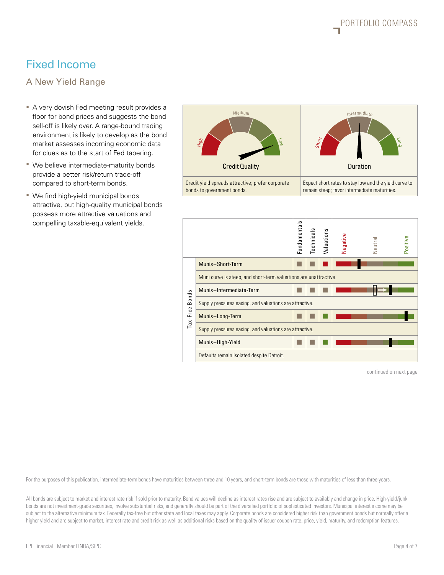## Fixed Income

A New Yield Range

- A very dovish Fed meeting result provides a floor for bond prices and suggests the bond sell-off is likely over. A range-bound trading environment is likely to develop as the bond market assesses incoming economic data for clues as to the start of Fed tapering.
- We believe intermediate-maturity bonds provide a better risk/return trade-off compared to short-term bonds.
- We find high-yield municipal bonds attractive, but high-quality municipal bonds possess more attractive valuations and compelling taxable-equivalent yields.





continued on next page

For the purposes of this publication, intermediate-term bonds have maturities between three and 10 years, and short-term bonds are those with maturities of less than three years.

All bonds are subject to market and interest rate risk if sold prior to maturity. Bond values will decline as interest rates rise and are subject to availably and change in price. High-yield/junk bonds are not investment-grade securities, involve substantial risks, and generally should be part of the diversified portfolio of sophisticated investors. Municipal interest income may be subject to the alternative minimum tax. Federally tax-free but other state and local taxes may apply. Corporate bonds are considered higher risk than government bonds but normally offer a higher yield and are subject to market, interest rate and credit risk as well as additional risks based on the quality of issuer coupon rate, price, yield, maturity, and redemption features.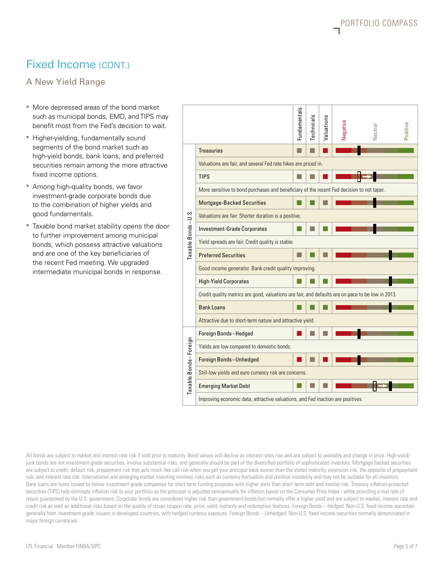## Fixed Income (CONT.)

A New Yield Range

- More depressed areas of the bond market such as municipal bonds, EMD, and TIPS may benefit most from the Fed's decision to wait.
- **Higher-yielding, fundamentally sound** segments of the bond market such as high-yield bonds, bank loans, and preferred securities remain among the more attractive fixed income options.
- **Among high-quality bonds, we favor** investment-grade corporate bonds due to the combination of higher yields and good fundamentals.
- Taxable bond market stability opens the door to further improvement among municipal bonds, which possess attractive valuations and are one of the key beneficiaries of the recent Fed meeting. We upgraded intermediate municipal bonds in response.

|                       |                                                                                                   | Fundamentals | Technicals | Valuations | Negative | Neutral | Positive |  |  |  |  |
|-----------------------|---------------------------------------------------------------------------------------------------|--------------|------------|------------|----------|---------|----------|--|--|--|--|
| Taxable Bonds-U.S.    | <b>Treasuries</b>                                                                                 |              |            |            |          |         |          |  |  |  |  |
|                       | Valuations are fair, and several Fed rate hikes are priced in.                                    |              |            |            |          |         |          |  |  |  |  |
|                       | <b>TIPS</b>                                                                                       |              |            |            |          |         |          |  |  |  |  |
|                       | More sensitive to bond purchases and beneficiary of the recent Fed decision to not taper.         |              |            |            |          |         |          |  |  |  |  |
|                       | <b>Mortgage-Backed Securities</b>                                                                 |              |            |            |          |         |          |  |  |  |  |
|                       | Valuations are fair. Shorter duration is a positive.                                              |              |            |            |          |         |          |  |  |  |  |
|                       | <b>Investment-Grade Corporates</b>                                                                |              |            |            |          |         |          |  |  |  |  |
|                       | Yield spreads are fair. Credit quality is stable.                                                 |              |            |            |          |         |          |  |  |  |  |
|                       | <b>Preferred Securities</b>                                                                       |              |            |            |          |         |          |  |  |  |  |
|                       | Good income generator. Bank credit quality improving.                                             |              |            |            |          |         |          |  |  |  |  |
|                       | <b>High-Yield Corporates</b>                                                                      |              |            |            |          |         |          |  |  |  |  |
|                       | Credit quality metrics are good, valuations are fair, and defaults are on pace to be low in 2013. |              |            |            |          |         |          |  |  |  |  |
|                       | <b>Bank Loans</b>                                                                                 |              |            |            |          |         |          |  |  |  |  |
|                       | Attractive due to short-term nature and attractive yield.                                         |              |            |            |          |         |          |  |  |  |  |
| Taxable Bonds-Foreign | Foreign Bonds-Hedged                                                                              |              |            |            |          |         |          |  |  |  |  |
|                       | Yields are low compared to domestic bonds.                                                        |              |            |            |          |         |          |  |  |  |  |
|                       | Foreign Bonds-Unhedged                                                                            |              |            |            |          |         |          |  |  |  |  |
|                       | Still-low yields and euro currency risk are concerns.                                             |              |            |            |          |         |          |  |  |  |  |
|                       | <b>Emerging Market Debt</b>                                                                       |              |            |            |          |         |          |  |  |  |  |
|                       | Improving economic data, attractive valuations, and Fed inaction are positives.                   |              |            |            |          |         |          |  |  |  |  |

All bonds are subject to market and interest rate risk if sold prior to maturity. Bond values will decline as interest rates rise and are subject to availably and change in price. High-yield/ junk bonds are not investment-grade securities, involve substantial risks, and generally should be part of the diversified portfolio of sophisticated investors. Mortgage-backed securities are subject to credit, default risk, prepayment risk that acts much like call risk when you get your principal back sooner than the stated maturity, extension risk, the opposite of prepayment risk, and interest rate risk. International and emerging market investing involves risks such as currency fluctuation and political instability and may not be suitable for all investors. Bank loans are loans issued by below investment-grade companies for short term funding purposes with higher yield than short-term debt and involve risk. Treasury inflation-protected securities (TIPS) help eliminate inflation risk to your portfolio as the principal is adjusted semiannually for inflation based on the Consumer Price Index - while providing a real rate of return guaranteed by the U.S. government. Corporate bonds are considered higher risk than government bonds but normally offer a higher yield and are subject to market, interest rate and credit risk as well as additional risks based on the quality of issuer coupon rate, price, yield, maturity and redemption features. Foreign Bonds – Hedged: Non-U.S. fixed income securities generally from investment-grade issuers in developed countries, with hedged currency exposure. Foreign Bonds – Unhedged: Non-U.S. fixed income securities normally denominated in major foreign currencies.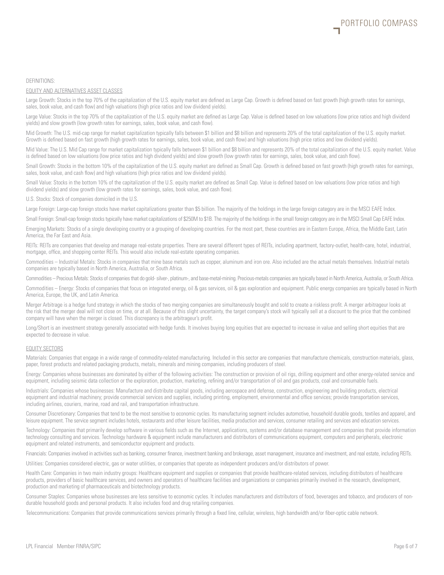#### DEFINITIONS:

#### EQUITY AND ALTERNATIVES ASSET CLASSES

Large Growth: Stocks in the top 70% of the capitalization of the U.S. equity market are defined as Large Cap. Growth is defined based on fast growth (high growth rates for earnings, sales, book value, and cash flow) and high valuations (high price ratios and low dividend yields).

Large Value: Stocks in the top 70% of the capitalization of the U.S. equity market are defined as Large Cap. Value is defined based on low valuations (low price ratios and high dividend yields) and slow growth (low growth rates for earnings, sales, book value, and cash flow).

Mid Growth: The U.S. mid-cap range for market capitalization typically falls between \$1 billion and \$8 billion and represents 20% of the total capitalization of the U.S. equity market. Growth is defined based on fast growth (high growth rates for earnings, sales, book value, and cash flow) and high valuations (high price ratios and low dividend yields).

Mid Value: The U.S. Mid Cap range for market capitalization typically falls between \$1 billion and \$8 billion and represents 20% of the total capitalization of the U.S. equity market. Value is defined based on low valuations (low price ratios and high dividend yields) and slow growth (low growth rates for earnings, sales, book value, and cash flow).

Small Growth: Stocks in the bottom 10% of the capitalization of the U.S. equity market are defined as Small Cap. Growth is defined based on fast growth (high growth rates for earnings, sales, book value, and cash flow) and high valuations (high price ratios and low dividend yields).

Small Value: Stocks in the bottom 10% of the capitalization of the U.S. equity market are defined as Small Cap. Value is defined based on low valuations (low price ratios and high dividend yields) and slow growth (low growth rates for earnings, sales, book value, and cash flow).

U.S. Stocks: Stock of companies domiciled in the U.S.

Large Foreign: Large-cap foreign stocks have market capitalizations greater than \$5 billion. The majority of the holdings in the large foreign category are in the MSCI EAFE Index.

Small Foreign: Small-cap foreign stocks typically have market capitalizations of \$250M to \$1B. The majority of the holdings in the small foreign category are in the MSCI Small Cap EAFE Index.

Emerging Markets: Stocks of a single developing country or a grouping of developing countries. For the most part, these countries are in Eastern Europe, Africa, the Middle East, Latin America, the Far East and Asia.

REITs: REITs are companies that develop and manage real-estate properties. There are several different types of REITs, including apartment, factory-outlet, health-care, hotel, industrial, mortgage, office, and shopping center REITs. This would also include real-estate operating companies.

Commodities – Industrial Metals: Stocks in companies that mine base metals such as copper, aluminum and iron ore. Also included are the actual metals themselves. Industrial metals companies are typically based in North America, Australia, or South Africa.

Commodities – Precious Metals: Stocks of companies that do gold- silver-, platinum-, and base-metal-mining. Precious-metals companies are typically based in North America, Australia, or South Africa.

Commodities – Energy: Stocks of companies that focus on integrated energy, oil & gas services, oil & gas exploration and equipment. Public energy companies are typically based in North America, Europe, the UK, and Latin America.

Merger Arbitrage is a hedge fund strategy in which the stocks of two merging companies are simultaneously bought and sold to create a riskless profit. A merger arbitrageur looks at the risk that the merger deal will not close on time, or at all. Because of this slight uncertainty, the target company's stock will typically sell at a discount to the price that the combined company will have when the merger is closed. This discrepancy is the arbitrageur's profit.

Long/Short is an investment strategy generally associated with hedge funds. It involves buying long equities that are expected to increase in value and selling short equities that are expected to decrease in value.

#### EQUITY SECTORS

Materials: Companies that engage in a wide range of commodity-related manufacturing. Included in this sector are companies that manufacture chemicals, construction materials, glass, paper, forest products and related packaging products, metals, minerals and mining companies, including producers of steel.

Energy: Companies whose businesses are dominated by either of the following activities: The construction or provision of oil rigs, drilling equipment and other energy-related service and equipment, including seismic data collection or the exploration, production, marketing, refining and/or transportation of oil and gas products, coal and consumable fuels.

Industrials: Companies whose businesses: Manufacture and distribute capital goods, including aerospace and defense, construction, engineering and building products, electrical equipment and industrial machinery; provide commercial services and supplies, including printing, employment, environmental and office services; provide transportation services, including airlines, couriers, marine, road and rail, and transportation infrastructure.

Consumer Discretionary: Companies that tend to be the most sensitive to economic cycles. Its manufacturing segment includes automotive, household durable goods, textiles and apparel, and leisure equipment. The service segment includes hotels, restaurants and other leisure facilities, media production and services, consumer retailing and services and education services.

Technology: Companies that primarily develop software in various fields such as the Internet, applications, systems and/or database management and companies that provide information technology consulting and services. Technology hardware & equipment include manufacturers and distributors of communications equipment, computers and peripherals, electronic equipment and related instruments, and semiconductor equipment and products.

Financials: Companies involved in activities such as banking, consumer finance, investment banking and brokerage, asset management, insurance and investment, and real estate, including REITs.

Utilities: Companies considered electric, gas or water utilities, or companies that operate as independent producers and/or distributors of power.

Health Care: Companies in two main industry groups: Healthcare equipment and supplies or companies that provide healthcare-related services, including distributors of healthcare products, providers of basic healthcare services, and owners and operators of healthcare facilities and organizations or companies primarily involved in the research, development, production and marketing of pharmaceuticals and biotechnology products.

Consumer Staples: Companies whose businesses are less sensitive to economic cycles. It includes manufacturers and distributors of food, beverages and tobacco, and producers of nondurable household goods and personal products. It also includes food and drug retailing companies.

Telecommunications: Companies that provide communications services primarily through a fixed line, cellular, wireless, high bandwidth and/or fiber-optic cable network.